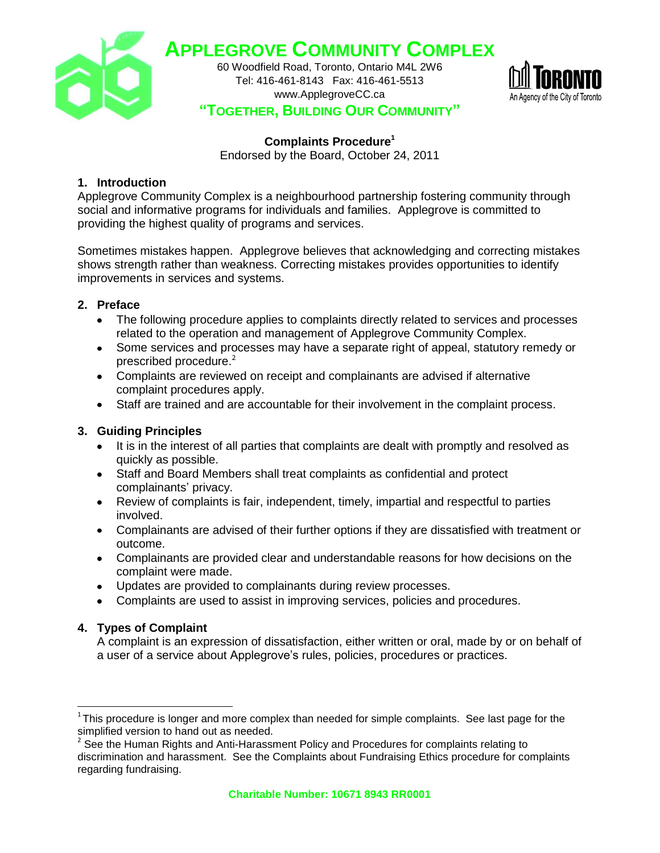

**APPLEGROVE COMMUNITY COMPLEX**

60 Woodfield Road, Toronto, Ontario M4L 2W6 Tel: 416-461-8143 Fax: 416-461-5513 www.ApplegroveCC.ca



# **"TOGETHER, BUILDING OUR COMMUNITY"**

### **Complaints Procedure<sup>1</sup>**

Endorsed by the Board, October 24, 2011

### **1. Introduction**

Applegrove Community Complex is a neighbourhood partnership fostering community through social and informative programs for individuals and families. Applegrove is committed to providing the highest quality of programs and services.

Sometimes mistakes happen. Applegrove believes that acknowledging and correcting mistakes shows strength rather than weakness. Correcting mistakes provides opportunities to identify improvements in services and systems.

### **2. Preface**

- The following procedure applies to complaints directly related to services and processes related to the operation and management of Applegrove Community Complex.
- Some services and processes may have a separate right of appeal, statutory remedy or prescribed procedure.<sup>2</sup>
- Complaints are reviewed on receipt and complainants are advised if alternative complaint procedures apply.
- Staff are trained and are accountable for their involvement in the complaint process.

### **3. Guiding Principles**

- It is in the interest of all parties that complaints are dealt with promptly and resolved as quickly as possible.
- Staff and Board Members shall treat complaints as confidential and protect complainants' privacy.
- Review of complaints is fair, independent, timely, impartial and respectful to parties involved.
- Complainants are advised of their further options if they are dissatisfied with treatment or outcome.
- Complainants are provided clear and understandable reasons for how decisions on the complaint were made.
- Updates are provided to complainants during review processes.
- Complaints are used to assist in improving services, policies and procedures.

### **4. Types of Complaint**

 $\overline{a}$ 

A complaint is an expression of dissatisfaction, either written or oral, made by or on behalf of a user of a service about Applegrove's rules, policies, procedures or practices.

 $1$ This procedure is longer and more complex than needed for simple complaints. See last page for the simplified version to hand out as needed.

 $2^2$  See the Human Rights and Anti-Harassment Policy and Procedures for complaints relating to discrimination and harassment. See the Complaints about Fundraising Ethics procedure for complaints regarding fundraising.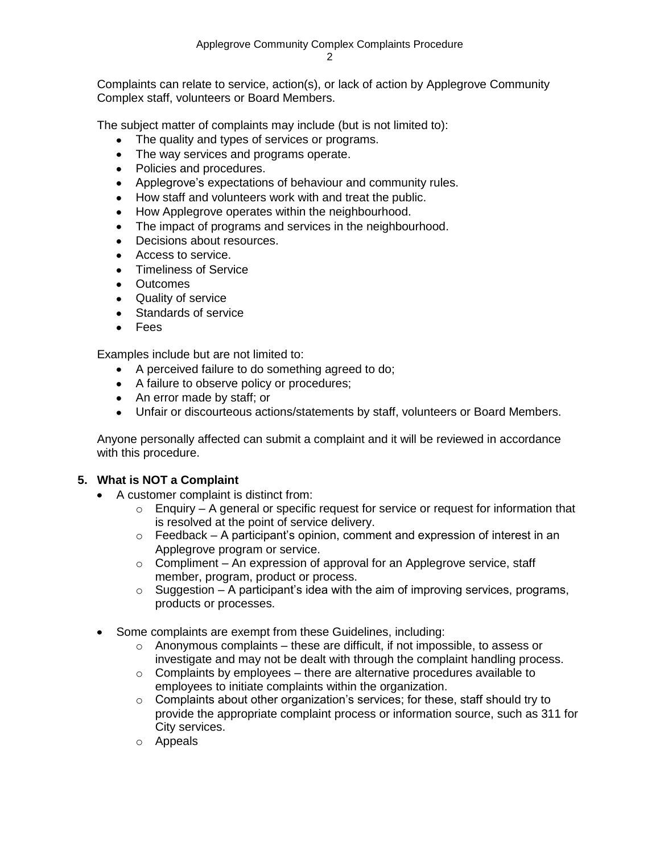Complaints can relate to service, action(s), or lack of action by Applegrove Community Complex staff, volunteers or Board Members.

The subject matter of complaints may include (but is not limited to):

- The quality and types of services or programs.
- The way services and programs operate.
- Policies and procedures.
- Applegrove's expectations of behaviour and community rules.
- How staff and volunteers work with and treat the public.
- How Applegrove operates within the neighbourhood.
- The impact of programs and services in the neighbourhood.
- Decisions about resources.
- Access to service.
- Timeliness of Service
- Outcomes
- Quality of service
- Standards of service
- Fees

Examples include but are not limited to:

- A perceived failure to do something agreed to do;
- A failure to observe policy or procedures;
- An error made by staff; or
- Unfair or discourteous actions/statements by staff, volunteers or Board Members.

Anyone personally affected can submit a complaint and it will be reviewed in accordance with this procedure.

### **5. What is NOT a Complaint**

- A customer complaint is distinct from:
	- $\circ$  Enquiry A general or specific request for service or request for information that is resolved at the point of service delivery.
	- $\circ$  Feedback A participant's opinion, comment and expression of interest in an Applegrove program or service.
	- $\circ$  Compliment An expression of approval for an Applegrove service, staff member, program, product or process.
	- $\circ$  Suggestion A participant's idea with the aim of improving services, programs, products or processes.
- Some complaints are exempt from these Guidelines, including:
	- $\circ$  Anonymous complaints these are difficult, if not impossible, to assess or investigate and may not be dealt with through the complaint handling process.
	- $\circ$  Complaints by employees there are alternative procedures available to employees to initiate complaints within the organization.
	- o Complaints about other organization's services; for these, staff should try to provide the appropriate complaint process or information source, such as 311 for City services.
	- o Appeals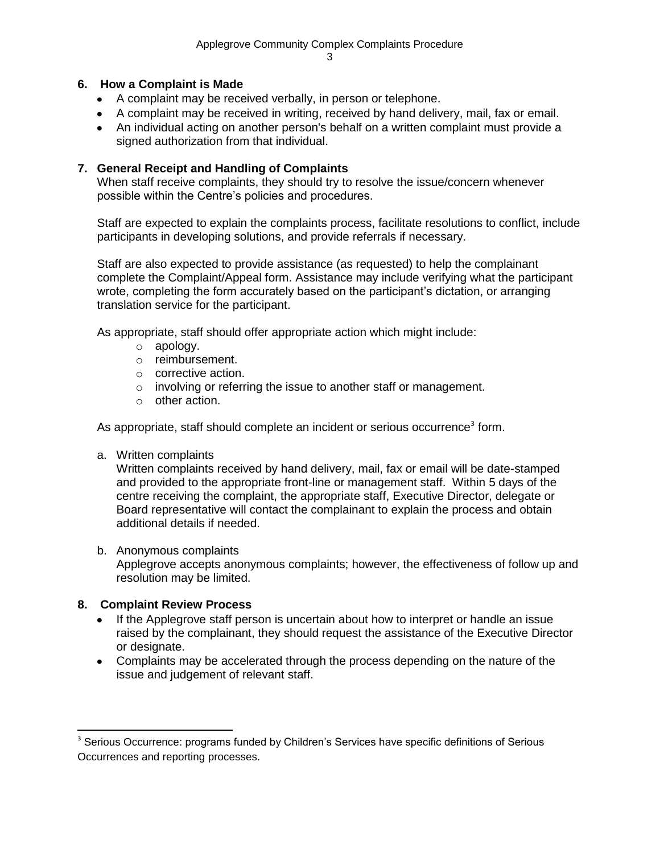### **6. How a Complaint is Made**

- A complaint may be received verbally, in person or telephone.
- A complaint may be received in writing, received by hand delivery, mail, fax or email.
- An individual acting on another person's behalf on a written complaint must provide a signed authorization from that individual.

### **7. General Receipt and Handling of Complaints**

When staff receive complaints, they should try to resolve the issue/concern whenever possible within the Centre's policies and procedures.

Staff are expected to explain the complaints process, facilitate resolutions to conflict, include participants in developing solutions, and provide referrals if necessary.

Staff are also expected to provide assistance (as requested) to help the complainant complete the Complaint/Appeal form. Assistance may include verifying what the participant wrote, completing the form accurately based on the participant's dictation, or arranging translation service for the participant.

As appropriate, staff should offer appropriate action which might include:

- o apology.
- o reimbursement.
- o corrective action.
- o involving or referring the issue to another staff or management.
- o other action.

As appropriate, staff should complete an incident or serious occurrence<sup>3</sup> form.

a. Written complaints

Written complaints received by hand delivery, mail, fax or email will be date-stamped and provided to the appropriate front-line or management staff. Within 5 days of the centre receiving the complaint, the appropriate staff, Executive Director, delegate or Board representative will contact the complainant to explain the process and obtain additional details if needed.

#### b. Anonymous complaints

Applegrove accepts anonymous complaints; however, the effectiveness of follow up and resolution may be limited.

### **8. Complaint Review Process**

 $\overline{a}$ 

- If the Applegrove staff person is uncertain about how to interpret or handle an issue raised by the complainant, they should request the assistance of the Executive Director or designate.
- Complaints may be accelerated through the process depending on the nature of the issue and judgement of relevant staff.

 $3$  Serious Occurrence: programs funded by Children's Services have specific definitions of Serious Occurrences and reporting processes.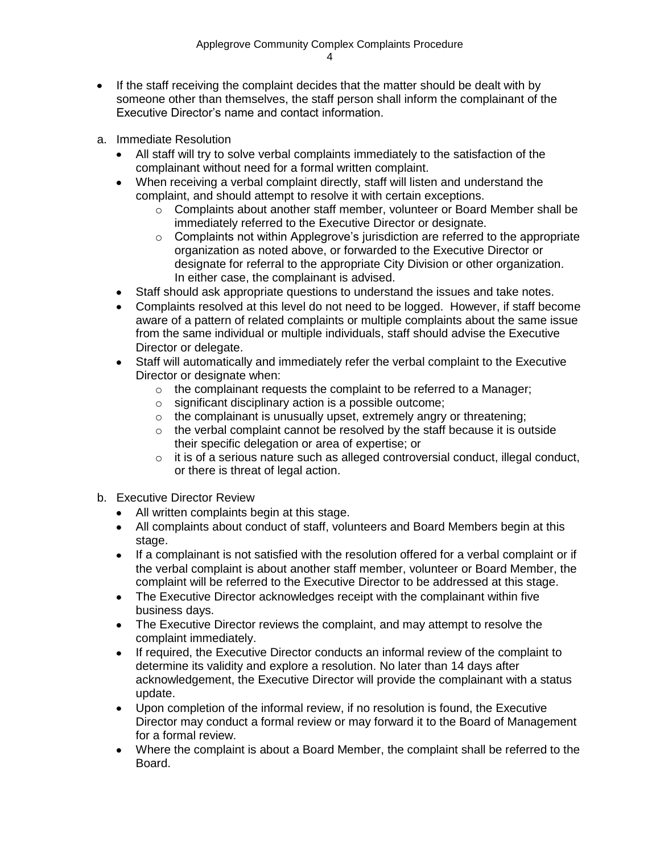- If the staff receiving the complaint decides that the matter should be dealt with by someone other than themselves, the staff person shall inform the complainant of the Executive Director's name and contact information.
- a. Immediate Resolution
	- All staff will try to solve verbal complaints immediately to the satisfaction of the complainant without need for a formal written complaint.
	- When receiving a verbal complaint directly, staff will listen and understand the complaint, and should attempt to resolve it with certain exceptions.
		- $\circ$  Complaints about another staff member, volunteer or Board Member shall be immediately referred to the Executive Director or designate.
		- o Complaints not within Applegrove's jurisdiction are referred to the appropriate organization as noted above, or forwarded to the Executive Director or designate for referral to the appropriate City Division or other organization. In either case, the complainant is advised.
	- Staff should ask appropriate questions to understand the issues and take notes.
	- Complaints resolved at this level do not need to be logged. However, if staff become aware of a pattern of related complaints or multiple complaints about the same issue from the same individual or multiple individuals, staff should advise the Executive Director or delegate.
	- Staff will automatically and immediately refer the verbal complaint to the Executive Director or designate when:
		- $\circ$  the complainant requests the complaint to be referred to a Manager;
		- o significant disciplinary action is a possible outcome;
		- $\circ$  the complainant is unusually upset, extremely angry or threatening;
		- o the verbal complaint cannot be resolved by the staff because it is outside their specific delegation or area of expertise; or
		- $\circ$  it is of a serious nature such as alleged controversial conduct, illegal conduct, or there is threat of legal action.
- b. Executive Director Review
	- All written complaints begin at this stage.
	- All complaints about conduct of staff, volunteers and Board Members begin at this stage.
	- If a complainant is not satisfied with the resolution offered for a verbal complaint or if the verbal complaint is about another staff member, volunteer or Board Member, the complaint will be referred to the Executive Director to be addressed at this stage.
	- The Executive Director acknowledges receipt with the complainant within five business days.
	- The Executive Director reviews the complaint, and may attempt to resolve the complaint immediately.
	- If required, the Executive Director conducts an informal review of the complaint to determine its validity and explore a resolution. No later than 14 days after acknowledgement, the Executive Director will provide the complainant with a status update.
	- Upon completion of the informal review, if no resolution is found, the Executive Director may conduct a formal review or may forward it to the Board of Management for a formal review.
	- Where the complaint is about a Board Member, the complaint shall be referred to the Board.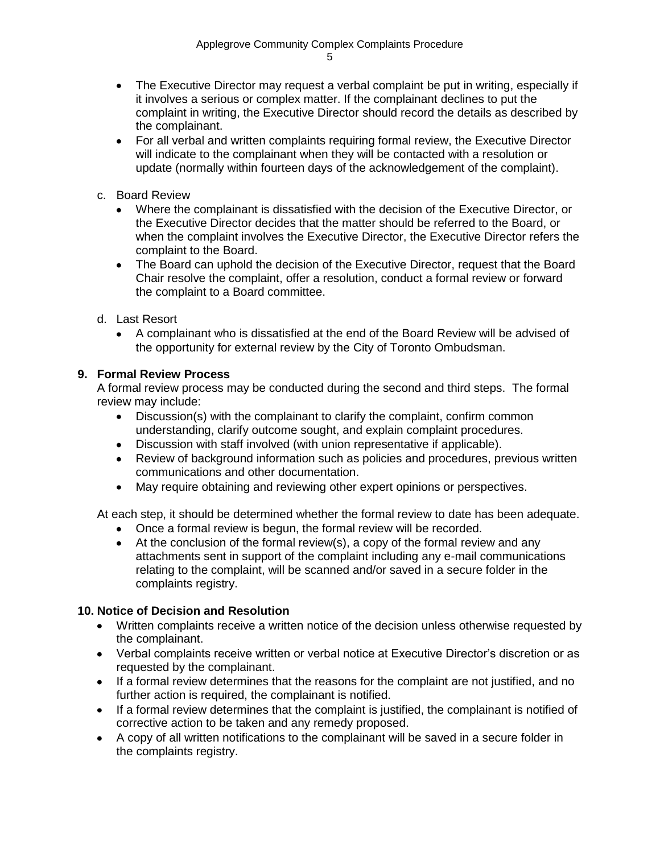- The Executive Director may request a verbal complaint be put in writing, especially if it involves a serious or complex matter. If the complainant declines to put the complaint in writing, the Executive Director should record the details as described by the complainant.
- For all verbal and written complaints requiring formal review, the Executive Director will indicate to the complainant when they will be contacted with a resolution or update (normally within fourteen days of the acknowledgement of the complaint).
- c. Board Review
	- Where the complainant is dissatisfied with the decision of the Executive Director, or the Executive Director decides that the matter should be referred to the Board, or when the complaint involves the Executive Director, the Executive Director refers the complaint to the Board.
	- The Board can uphold the decision of the Executive Director, request that the Board Chair resolve the complaint, offer a resolution, conduct a formal review or forward the complaint to a Board committee.
- d. Last Resort
	- A complainant who is dissatisfied at the end of the Board Review will be advised of the opportunity for external review by the City of Toronto Ombudsman.

### **9. Formal Review Process**

A formal review process may be conducted during the second and third steps. The formal review may include:

- Discussion(s) with the complainant to clarify the complaint, confirm common understanding, clarify outcome sought, and explain complaint procedures.
- Discussion with staff involved (with union representative if applicable).
- Review of background information such as policies and procedures, previous written communications and other documentation.
- May require obtaining and reviewing other expert opinions or perspectives.

At each step, it should be determined whether the formal review to date has been adequate.

- Once a formal review is begun, the formal review will be recorded.
- $\bullet$  At the conclusion of the formal review(s), a copy of the formal review and any attachments sent in support of the complaint including any e-mail communications relating to the complaint, will be scanned and/or saved in a secure folder in the complaints registry.

### **10. Notice of Decision and Resolution**

- Written complaints receive a written notice of the decision unless otherwise requested by the complainant.
- Verbal complaints receive written or verbal notice at Executive Director's discretion or as requested by the complainant.
- If a formal review determines that the reasons for the complaint are not justified, and no further action is required, the complainant is notified.
- If a formal review determines that the complaint is justified, the complainant is notified of corrective action to be taken and any remedy proposed.
- A copy of all written notifications to the complainant will be saved in a secure folder in the complaints registry.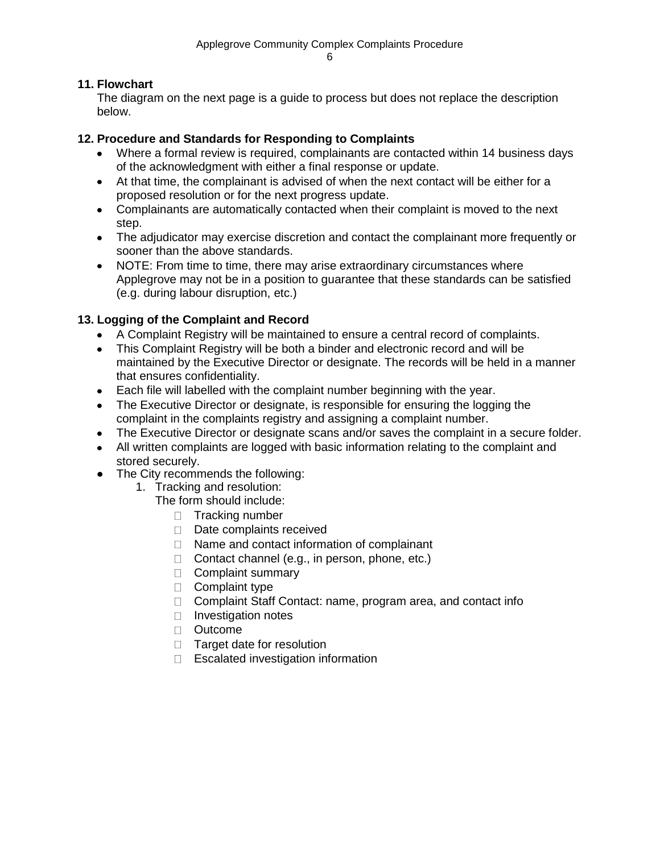### **11. Flowchart**

The diagram on the next page is a guide to process but does not replace the description below.

#### **12. Procedure and Standards for Responding to Complaints**

- Where a formal review is required, complainants are contacted within 14 business days of the acknowledgment with either a final response or update.
- At that time, the complainant is advised of when the next contact will be either for a proposed resolution or for the next progress update.
- Complainants are automatically contacted when their complaint is moved to the next step.
- The adjudicator may exercise discretion and contact the complainant more frequently or sooner than the above standards.
- NOTE: From time to time, there may arise extraordinary circumstances where Applegrove may not be in a position to guarantee that these standards can be satisfied (e.g. during labour disruption, etc.)

### **13. Logging of the Complaint and Record**

- A Complaint Registry will be maintained to ensure a central record of complaints.
- This Complaint Registry will be both a binder and electronic record and will be maintained by the Executive Director or designate. The records will be held in a manner that ensures confidentiality.
- Each file will labelled with the complaint number beginning with the year.
- The Executive Director or designate, is responsible for ensuring the logging the complaint in the complaints registry and assigning a complaint number.
- The Executive Director or designate scans and/or saves the complaint in a secure folder.
- All written complaints are logged with basic information relating to the complaint and stored securely.
- The City recommends the following:
	- 1. Tracking and resolution:
		- The form should include:
			- $\Box$  Tracking number
			- Date complaints received
			- $\Box$  Name and contact information of complainant
			- $\Box$  Contact channel (e.g., in person, phone, etc.)
			- $\Box$  Complaint summary
			- $\Box$  Complaint type
			- □ Complaint Staff Contact: name, program area, and contact info
			- □ Investigation notes
			- D Outcome
			- $\Box$  Target date for resolution
			- $\Box$  Escalated investigation information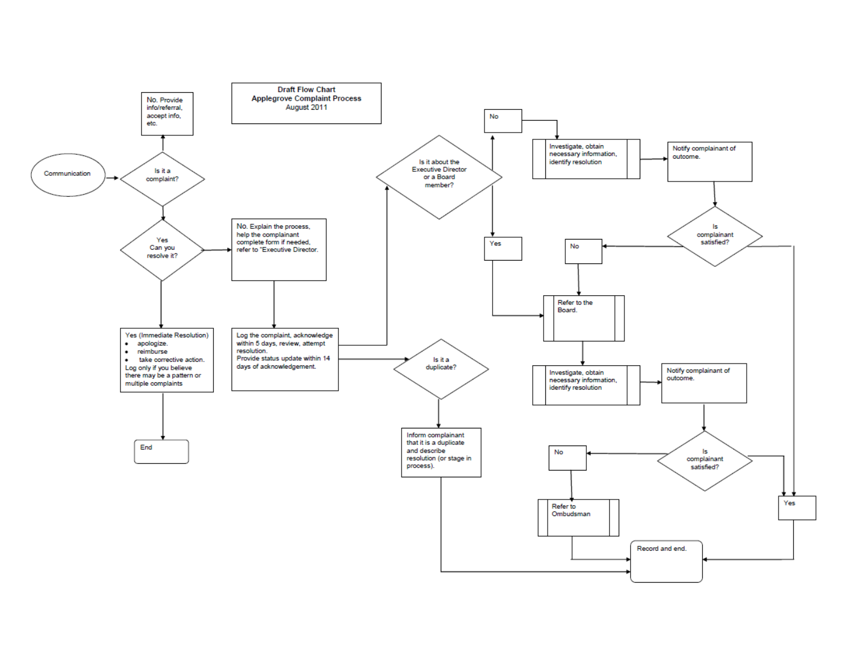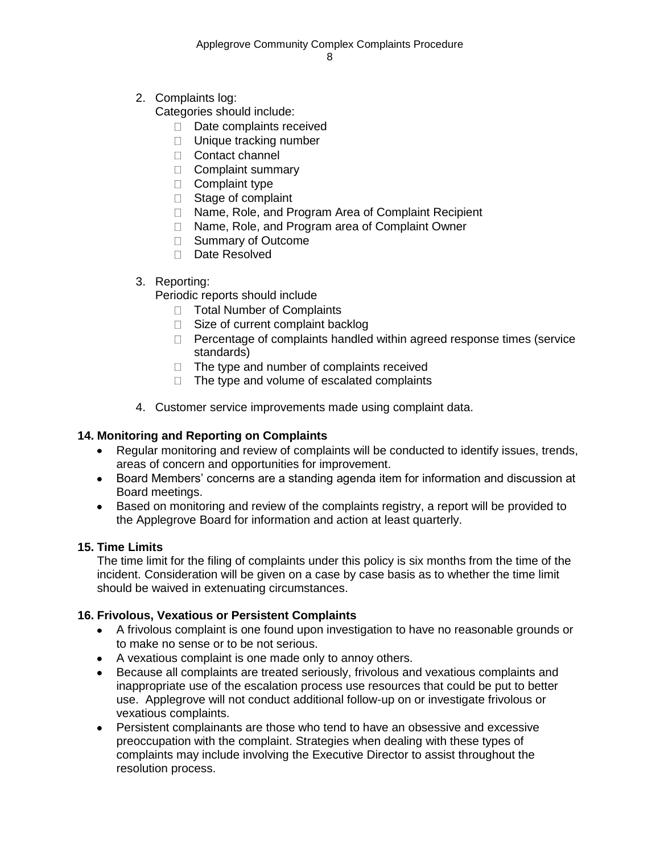2. Complaints log:

Categories should include:

- $\Box$  Date complaints received
- D Unique tracking number
- □ Contact channel
- Complaint summary
- $\Box$  Complaint type
- □ Stage of complaint
- □ Name, Role, and Program Area of Complaint Recipient
- □ Name, Role, and Program area of Complaint Owner
- □ Summary of Outcome
- □ Date Resolved

### 3. Reporting:

Periodic reports should include

- □ Total Number of Complaints
- $\Box$  Size of current complaint backlog
- $\Box$  Percentage of complaints handled within agreed response times (service standards)
- $\Box$  The type and number of complaints received
- $\Box$  The type and volume of escalated complaints
- 4. Customer service improvements made using complaint data.

## **14. Monitoring and Reporting on Complaints**

- Regular monitoring and review of complaints will be conducted to identify issues, trends,  $\bullet$ areas of concern and opportunities for improvement.
- Board Members' concerns are a standing agenda item for information and discussion at Board meetings.
- Based on monitoring and review of the complaints registry, a report will be provided to the Applegrove Board for information and action at least quarterly.

### **15. Time Limits**

The time limit for the filing of complaints under this policy is six months from the time of the incident. Consideration will be given on a case by case basis as to whether the time limit should be waived in extenuating circumstances.

## **16. Frivolous, Vexatious or Persistent Complaints**

- A frivolous complaint is one found upon investigation to have no reasonable grounds or to make no sense or to be not serious.
- A vexatious complaint is one made only to annoy others.
- Because all complaints are treated seriously, frivolous and vexatious complaints and inappropriate use of the escalation process use resources that could be put to better use. Applegrove will not conduct additional follow-up on or investigate frivolous or vexatious complaints.
- Persistent complainants are those who tend to have an obsessive and excessive preoccupation with the complaint. Strategies when dealing with these types of complaints may include involving the Executive Director to assist throughout the resolution process.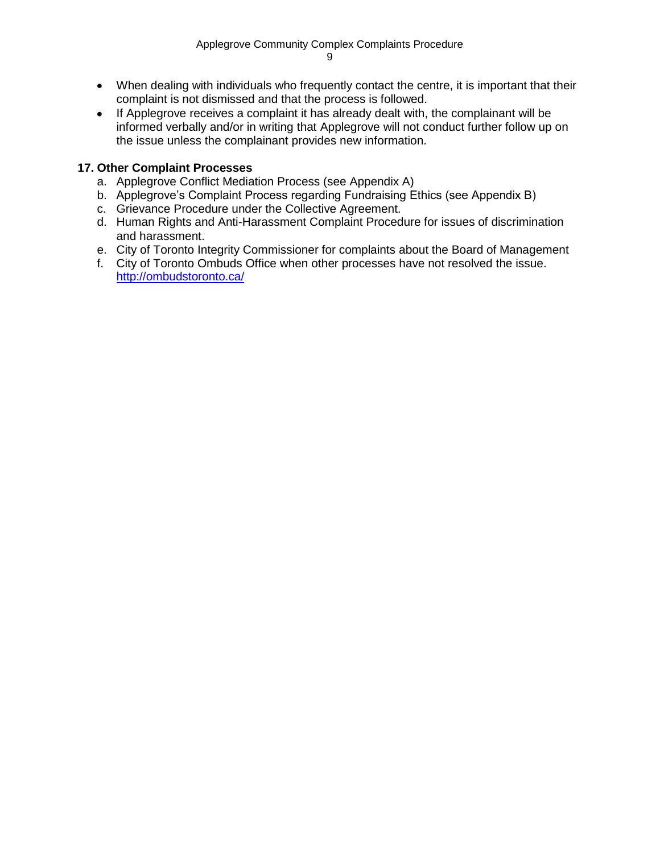- When dealing with individuals who frequently contact the centre, it is important that their complaint is not dismissed and that the process is followed.
- If Applegrove receives a complaint it has already dealt with, the complainant will be informed verbally and/or in writing that Applegrove will not conduct further follow up on the issue unless the complainant provides new information.

### **17. Other Complaint Processes**

- a. Applegrove Conflict Mediation Process (see Appendix A)
- b. Applegrove's Complaint Process regarding Fundraising Ethics (see Appendix B)
- c. Grievance Procedure under the Collective Agreement.
- d. Human Rights and Anti-Harassment Complaint Procedure for issues of discrimination and harassment.
- e. City of Toronto Integrity Commissioner for complaints about the Board of Management
- f. City of Toronto Ombuds Office when other processes have not resolved the issue. <http://ombudstoronto.ca/>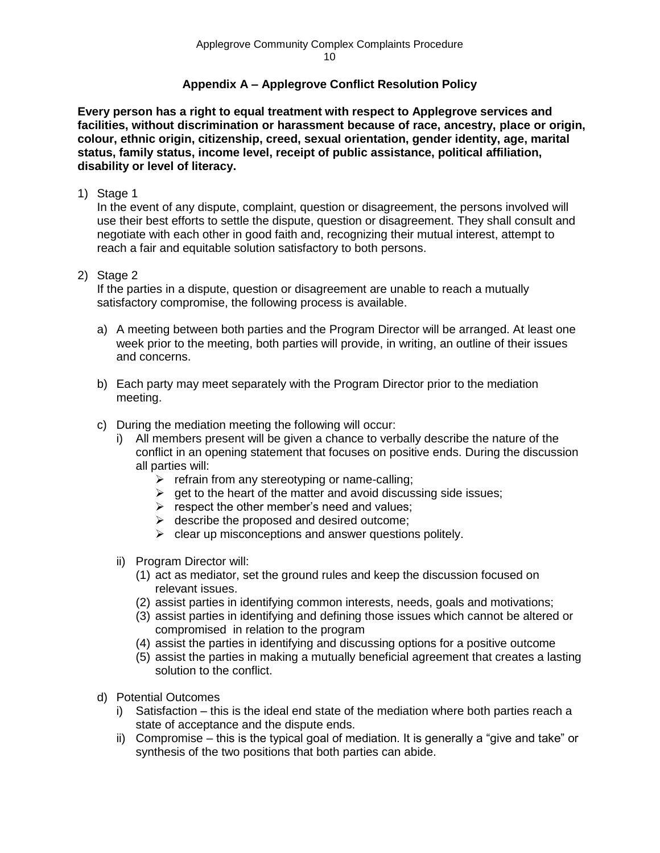### **Appendix A – Applegrove Conflict Resolution Policy**

**Every person has a right to equal treatment with respect to Applegrove services and facilities, without discrimination or harassment because of race, ancestry, place or origin, colour, ethnic origin, citizenship, creed, sexual orientation, gender identity, age, marital status, family status, income level, receipt of public assistance, political affiliation, disability or level of literacy.**

1) Stage 1

In the event of any dispute, complaint, question or disagreement, the persons involved will use their best efforts to settle the dispute, question or disagreement. They shall consult and negotiate with each other in good faith and, recognizing their mutual interest, attempt to reach a fair and equitable solution satisfactory to both persons.

2) Stage 2

If the parties in a dispute, question or disagreement are unable to reach a mutually satisfactory compromise, the following process is available.

- a) A meeting between both parties and the Program Director will be arranged. At least one week prior to the meeting, both parties will provide, in writing, an outline of their issues and concerns.
- b) Each party may meet separately with the Program Director prior to the mediation meeting.
- c) During the mediation meeting the following will occur:
	- i) All members present will be given a chance to verbally describe the nature of the conflict in an opening statement that focuses on positive ends. During the discussion all parties will:
		- $\triangleright$  refrain from any stereotyping or name-calling;
		- $\triangleright$  get to the heart of the matter and avoid discussing side issues;
		- $\triangleright$  respect the other member's need and values;
		- $\triangleright$  describe the proposed and desired outcome;
		- $\triangleright$  clear up misconceptions and answer questions politely.
	- ii) Program Director will:
		- (1) act as mediator, set the ground rules and keep the discussion focused on relevant issues.
		- (2) assist parties in identifying common interests, needs, goals and motivations;
		- (3) assist parties in identifying and defining those issues which cannot be altered or compromised in relation to the program
		- (4) assist the parties in identifying and discussing options for a positive outcome
		- (5) assist the parties in making a mutually beneficial agreement that creates a lasting solution to the conflict.
- d) Potential Outcomes
	- i) Satisfaction this is the ideal end state of the mediation where both parties reach a state of acceptance and the dispute ends.
	- ii) Compromise this is the typical goal of mediation. It is generally a "give and take" or synthesis of the two positions that both parties can abide.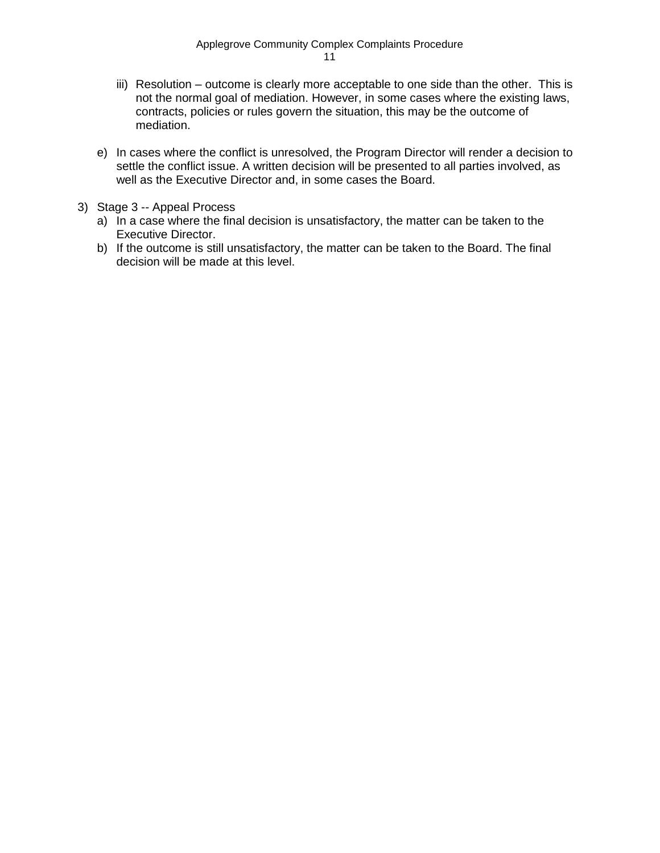- iii) Resolution outcome is clearly more acceptable to one side than the other. This is not the normal goal of mediation. However, in some cases where the existing laws, contracts, policies or rules govern the situation, this may be the outcome of mediation.
- e) In cases where the conflict is unresolved, the Program Director will render a decision to settle the conflict issue. A written decision will be presented to all parties involved, as well as the Executive Director and, in some cases the Board.
- 3) Stage 3 -- Appeal Process
	- a) In a case where the final decision is unsatisfactory, the matter can be taken to the Executive Director.
	- b) If the outcome is still unsatisfactory, the matter can be taken to the Board. The final decision will be made at this level.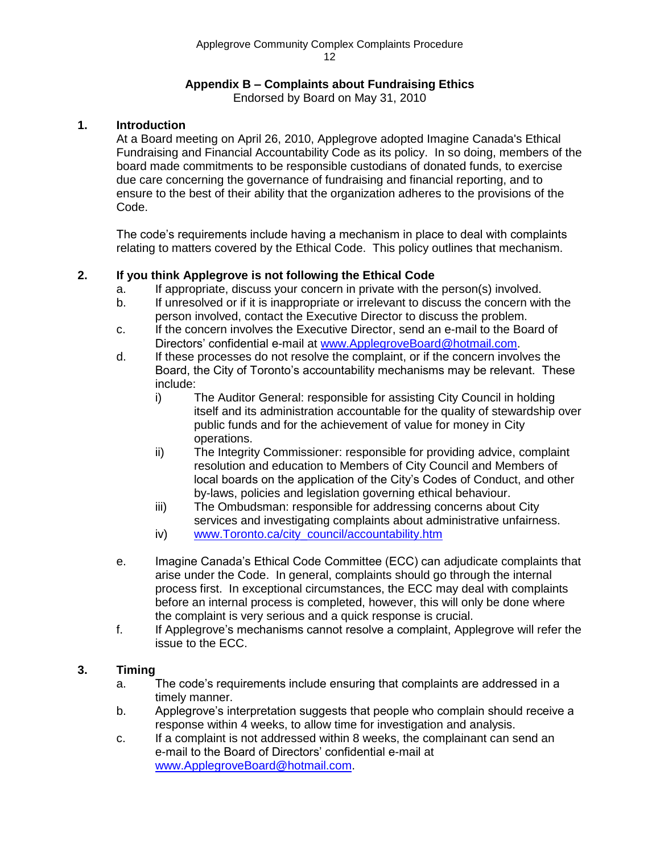#### Applegrove Community Complex Complaints Procedure 12

### **Appendix B – Complaints about Fundraising Ethics**

Endorsed by Board on May 31, 2010

### **1. Introduction**

At a Board meeting on April 26, 2010, Applegrove adopted Imagine Canada's Ethical Fundraising and Financial Accountability Code as its policy. In so doing, members of the board made commitments to be responsible custodians of donated funds, to exercise due care concerning the governance of fundraising and financial reporting, and to ensure to the best of their ability that the organization adheres to the provisions of the Code.

The code's requirements include having a mechanism in place to deal with complaints relating to matters covered by the Ethical Code. This policy outlines that mechanism.

### **2. If you think Applegrove is not following the Ethical Code**

- a. If appropriate, discuss your concern in private with the person(s) involved.
- b. If unresolved or if it is inappropriate or irrelevant to discuss the concern with the person involved, contact the Executive Director to discuss the problem.
- c. If the concern involves the Executive Director, send an e-mail to the Board of Directors' confidential e-mail at [www.ApplegroveBoard@hotmail.com.](http://www.ApplegroveBoard@hotmail.com/)
- d. If these processes do not resolve the complaint, or if the concern involves the Board, the City of Toronto's accountability mechanisms may be relevant. These include:
	- i) The Auditor General: responsible for assisting City Council in holding itself and its administration accountable for the quality of stewardship over public funds and for the achievement of value for money in City operations.
	- ii) The Integrity Commissioner: responsible for providing advice, complaint resolution and education to Members of City Council and Members of local boards on the application of the City's Codes of Conduct, and other by-laws, policies and legislation governing ethical behaviour.
	- iii) The Ombudsman: responsible for addressing concerns about City services and investigating complaints about administrative unfairness.
	- iv) [www.Toronto.ca/city\\_council/accountability.htm](http://www.toronto.ca/city_council/accountability.htm)
- e. Imagine Canada's Ethical Code Committee (ECC) can adjudicate complaints that arise under the Code. In general, complaints should go through the internal process first. In exceptional circumstances, the ECC may deal with complaints before an internal process is completed, however, this will only be done where the complaint is very serious and a quick response is crucial.
- f. If Applegrove's mechanisms cannot resolve a complaint, Applegrove will refer the issue to the ECC.

### **3. Timing**

- a. The code's requirements include ensuring that complaints are addressed in a timely manner.
- b. Applegrove's interpretation suggests that people who complain should receive a response within 4 weeks, to allow time for investigation and analysis.
- c. If a complaint is not addressed within 8 weeks, the complainant can send an e-mail to the Board of Directors' confidential e-mail at [www.ApplegroveBoard@hotmail.com.](http://www.ApplegroveBoard@hotmail.com/)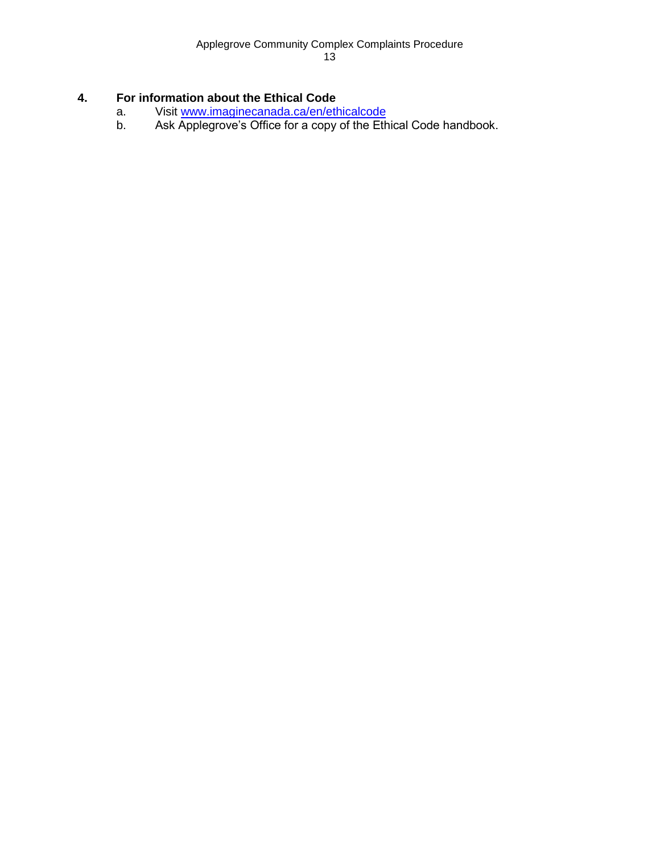### **4. For information about the Ethical Code**

- a. Visit [www.imaginecanada.ca/en/ethicalcode](http://www.imaginecanada.ca/en/ethicalcode)<br>b. Ask Applegrove's Office for a copy of the Eth
- Ask Applegrove's Office for a copy of the Ethical Code handbook.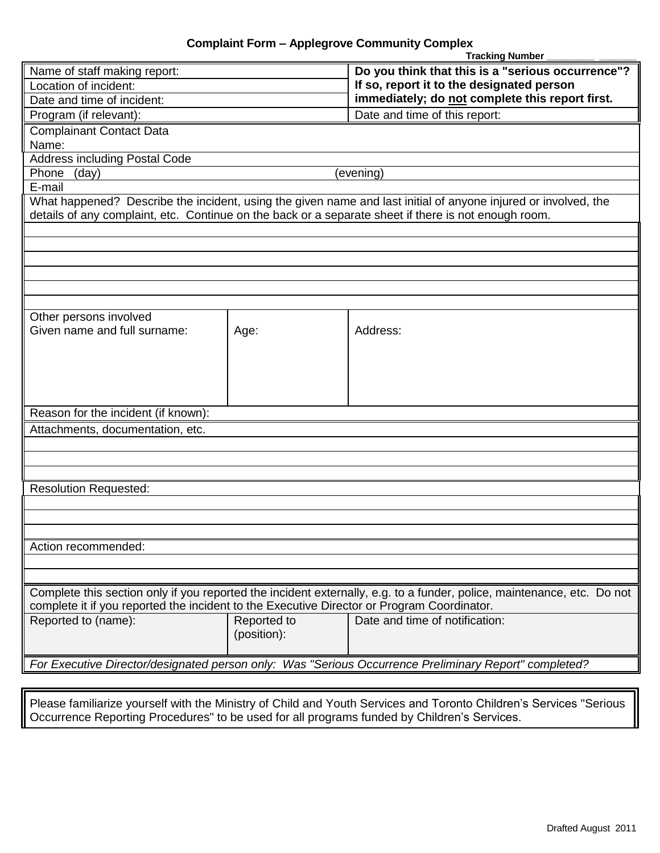|                                                                                                                                                                                                                        |             | <b>Tracking Number</b>                                                                                |  |  |  |  |
|------------------------------------------------------------------------------------------------------------------------------------------------------------------------------------------------------------------------|-------------|-------------------------------------------------------------------------------------------------------|--|--|--|--|
| Name of staff making report:                                                                                                                                                                                           |             | Do you think that this is a "serious occurrence"?                                                     |  |  |  |  |
| Location of incident:                                                                                                                                                                                                  |             | If so, report it to the designated person                                                             |  |  |  |  |
| Date and time of incident:                                                                                                                                                                                             |             | immediately; do not complete this report first.                                                       |  |  |  |  |
| Program (if relevant):                                                                                                                                                                                                 |             | Date and time of this report:                                                                         |  |  |  |  |
| <b>Complainant Contact Data</b>                                                                                                                                                                                        |             |                                                                                                       |  |  |  |  |
| Name:                                                                                                                                                                                                                  |             |                                                                                                       |  |  |  |  |
| <b>Address including Postal Code</b>                                                                                                                                                                                   |             |                                                                                                       |  |  |  |  |
| Phone<br>(day)                                                                                                                                                                                                         |             | (evening)                                                                                             |  |  |  |  |
| E-mail                                                                                                                                                                                                                 |             |                                                                                                       |  |  |  |  |
| What happened? Describe the incident, using the given name and last initial of anyone injured or involved, the<br>details of any complaint, etc. Continue on the back or a separate sheet if there is not enough room. |             |                                                                                                       |  |  |  |  |
|                                                                                                                                                                                                                        |             |                                                                                                       |  |  |  |  |
|                                                                                                                                                                                                                        |             |                                                                                                       |  |  |  |  |
|                                                                                                                                                                                                                        |             |                                                                                                       |  |  |  |  |
|                                                                                                                                                                                                                        |             |                                                                                                       |  |  |  |  |
|                                                                                                                                                                                                                        |             |                                                                                                       |  |  |  |  |
|                                                                                                                                                                                                                        |             |                                                                                                       |  |  |  |  |
| Other persons involved                                                                                                                                                                                                 |             |                                                                                                       |  |  |  |  |
| Given name and full surname:                                                                                                                                                                                           | Age:        | Address:                                                                                              |  |  |  |  |
|                                                                                                                                                                                                                        |             |                                                                                                       |  |  |  |  |
|                                                                                                                                                                                                                        |             |                                                                                                       |  |  |  |  |
|                                                                                                                                                                                                                        |             |                                                                                                       |  |  |  |  |
|                                                                                                                                                                                                                        |             |                                                                                                       |  |  |  |  |
| Reason for the incident (if known):                                                                                                                                                                                    |             |                                                                                                       |  |  |  |  |
| Attachments, documentation, etc.                                                                                                                                                                                       |             |                                                                                                       |  |  |  |  |
|                                                                                                                                                                                                                        |             |                                                                                                       |  |  |  |  |
|                                                                                                                                                                                                                        |             |                                                                                                       |  |  |  |  |
|                                                                                                                                                                                                                        |             |                                                                                                       |  |  |  |  |
| <b>Resolution Requested:</b>                                                                                                                                                                                           |             |                                                                                                       |  |  |  |  |
|                                                                                                                                                                                                                        |             |                                                                                                       |  |  |  |  |
|                                                                                                                                                                                                                        |             |                                                                                                       |  |  |  |  |
|                                                                                                                                                                                                                        |             |                                                                                                       |  |  |  |  |
| Action recommended:                                                                                                                                                                                                    |             |                                                                                                       |  |  |  |  |
|                                                                                                                                                                                                                        |             |                                                                                                       |  |  |  |  |
|                                                                                                                                                                                                                        |             |                                                                                                       |  |  |  |  |
| Complete this section only if you reported the incident externally, e.g. to a funder, police, maintenance, etc. Do not                                                                                                 |             |                                                                                                       |  |  |  |  |
| complete it if you reported the incident to the Executive Director or Program Coordinator.                                                                                                                             |             |                                                                                                       |  |  |  |  |
| Reported to (name):                                                                                                                                                                                                    | Reported to | Date and time of notification:                                                                        |  |  |  |  |
|                                                                                                                                                                                                                        | (position): |                                                                                                       |  |  |  |  |
|                                                                                                                                                                                                                        |             |                                                                                                       |  |  |  |  |
|                                                                                                                                                                                                                        |             | For Executive Director/designated person only: Was "Serious Occurrence Preliminary Report" completed? |  |  |  |  |

Please familiarize yourself with the Ministry of Child and Youth Services and Toronto Children's Services "Serious Occurrence Reporting Procedures" to be used for all programs funded by Children's Services.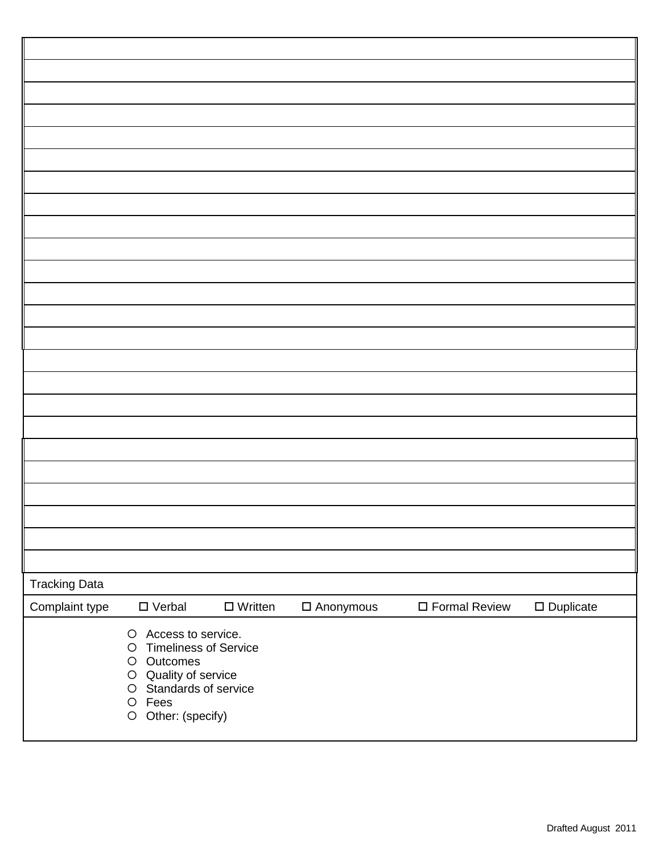| <b>Tracking Data</b> |                                                                                                                                                                                      |                   |                  |                         |                     |
|----------------------|--------------------------------------------------------------------------------------------------------------------------------------------------------------------------------------|-------------------|------------------|-------------------------|---------------------|
| Complaint type       | $\square$ Verbal                                                                                                                                                                     | $\square$ Written | $\Box$ Anonymous | $\square$ Formal Review | $\square$ Duplicate |
|                      | Access to service.<br>$\circ$<br><b>Timeliness of Service</b><br>$\circ$<br>O Outcomes<br>O Quality of service<br>Standards of service<br>$\bigcirc$<br>O Fees<br>O Other: (specify) |                   |                  |                         |                     |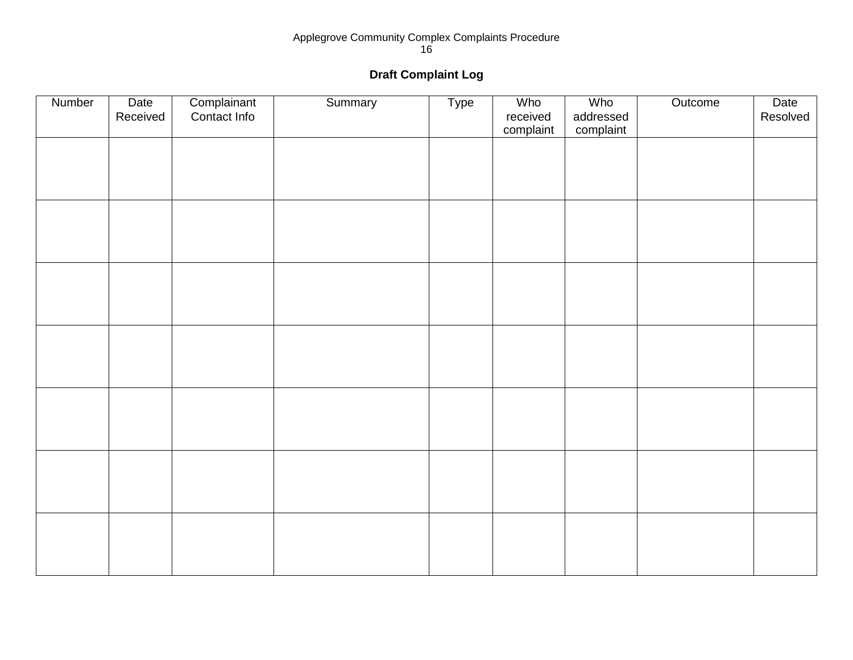#### Applegrove Community Complex Complaints Procedure 16

# **Draft Complaint Log**

| Number | Date<br>Received | Complainant<br>Contact Info | Summary | Type | Who<br>received<br>complaint | Who<br>addressed<br>complaint | Outcome | Date<br>Resolved |
|--------|------------------|-----------------------------|---------|------|------------------------------|-------------------------------|---------|------------------|
|        |                  |                             |         |      |                              |                               |         |                  |
|        |                  |                             |         |      |                              |                               |         |                  |
|        |                  |                             |         |      |                              |                               |         |                  |
|        |                  |                             |         |      |                              |                               |         |                  |
|        |                  |                             |         |      |                              |                               |         |                  |
|        |                  |                             |         |      |                              |                               |         |                  |
|        |                  |                             |         |      |                              |                               |         |                  |
|        |                  |                             |         |      |                              |                               |         |                  |
|        |                  |                             |         |      |                              |                               |         |                  |
|        |                  |                             |         |      |                              |                               |         |                  |
|        |                  |                             |         |      |                              |                               |         |                  |
|        |                  |                             |         |      |                              |                               |         |                  |
|        |                  |                             |         |      |                              |                               |         |                  |
|        |                  |                             |         |      |                              |                               |         |                  |